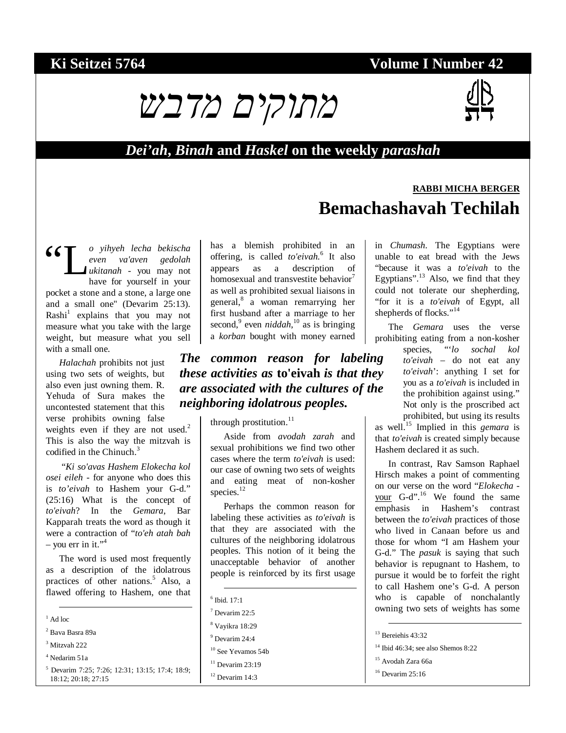### **Ki Seitzei 5764 Volume I Number 42**



# *Dei'ah***,** *Binah* **and** *Haskel* **on the weekly** *parashah*

## **RABBI MICHA BERGER Bemachashavah Techilah**

*o yihyeh lecha bekischa even va'aven gedolah ukitanah* - you may not have for yourself in your pocket a stone and a stone, a large one and a small one" (Devarim 25:13). Rashi<sup>1</sup> explains that you may not measure what you take with the large weight, but measure what you sell with a small one.  $\blacksquare$ 

*Halachah* prohibits not just using two sets of weights, but also even just owning them. R. Yehuda of Sura makes the uncontested statement that this verse prohibits owning false weights even if they are not used.<sup>2</sup> This is also the way the mitzvah is codified in the Chinuch.<sup>3</sup>

 "*Ki so'avas Hashem Elokecha kol osei eileh* - for anyone who does this is *to'eivah* to Hashem your G-d." (25:16) What is the concept of *to'eivah*? In the *Gemara*, Bar Kapparah treats the word as though it were a contraction of "*to'eh atah bah* – you err in it." $4$ 

The word is used most frequently as a description of the idolatrous practices of other nations.<sup>5</sup> Also, a flawed offering to Hashem, one that

 $\frac{1}{1}$  Ad loc

- 2 Bava Basra 89a
- 3 Mitzvah 222
- 4 Nedarim 51a
- 5 Devarim 7:25; 7:26; 12:31; 13:15; 17:4; 18:9; 18:12; 20:18; 27:15

has a blemish prohibited in an offering, is called *to'eivah.*<sup>6</sup> It also appears as a description of homosexual and transvestite behavior $<sup>7</sup>$ </sup> as well as prohibited sexual liaisons in general,<sup>8</sup> a woman remarrying her first husband after a marriage to her second,<sup>9</sup> even *niddah*,<sup>10</sup> as is bringing a *korban* bought with money earned

#### *The common reason for labeling these activities as* **to'eivah** *is that they are associated with the cultures of the neighboring idolatrous peoples.*

through prostitution.<sup>11</sup>

Aside from *avodah zarah* and sexual prohibitions we find two other cases where the term *to'eivah* is used: our case of owning two sets of weights and eating meat of non-kosher species. $12$ 

Perhaps the common reason for labeling these activities as *to'eivah* is that they are associated with the cultures of the neighboring idolatrous peoples. This notion of it being the unacceptable behavior of another people is reinforced by its first usage

- 8 Vayikra 18:29
- 9 Devarim 24:4
- <sup>10</sup> See Yevamos 54b
- $11$  Devarim 23:19
- 12 Devarim 14:3

in *Chumash*. The Egyptians were unable to eat bread with the Jews "because it was a *to'eivah* to the Egyptians". $^{13}$  Also, we find that they could not tolerate our shepherding, "for it is a *to'eivah* of Egypt, all shepherds of flocks."<sup>14</sup>

The *Gemara* uses the verse prohibiting eating from a non-kosher

species, "'*lo sochal kol to'eivah* – do not eat any *to'eivah*': anything I set for you as a *to'eivah* is included in the prohibition against using." Not only is the proscribed act prohibited, but using its results

as well.15 Implied in this *gemara* is that *to'eivah* is created simply because Hashem declared it as such.

In contrast, Rav Samson Raphael Hirsch makes a point of commenting on our verse on the word "*Elokecha* your G-d".<sup>16</sup> We found the same emphasis in Hashem's contrast between the *to'eivah* practices of those who lived in Canaan before us and those for whom "I am Hashem your G-d." The *pasuk* is saying that such behavior is repugnant to Hashem, to pursue it would be to forfeit the right to call Hashem one's G-d. A person who is capable of nonchalantly owning two sets of weights has some

- 15 Avodah Zara 66a
- $16$  Devarim 25:16



 <sup>6</sup> Ibid. 17:1

<sup>7</sup> Devarim 22:5

<sup>&</sup>lt;sup>13</sup> Bereiehis 43:32

<sup>14</sup> Ibid 46:34; see also Shemos 8:22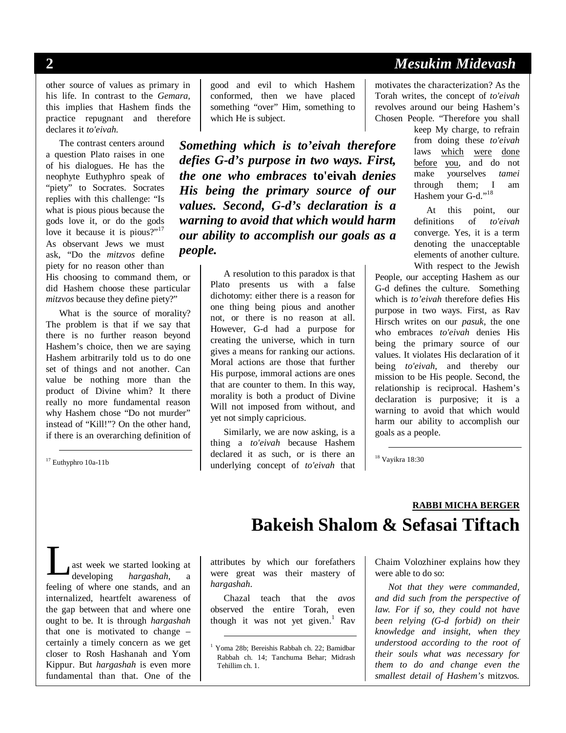# **2** *Mesukim Midevash*

other source of values as primary in his life. In contrast to the *Gemara*, this implies that Hashem finds the practice repugnant and therefore declares it *to'eivah.*

The contrast centers around a question Plato raises in one of his dialogues. He has the neophyte Euthyphro speak of "piety" to Socrates. Socrates replies with this challenge: "Is what is pious pious because the gods love it, or do the gods love it because it is pious?"<sup>17</sup> As observant Jews we must ask, "Do the *mitzvos* define piety for no reason other than His choosing to command them, or did Hashem choose these particular *mitzvos* because they define piety?"

What is the source of morality? The problem is that if we say that there is no further reason beyond Hashem's choice, then we are saying Hashem arbitrarily told us to do one set of things and not another. Can value be nothing more than the product of Divine whim? It there really no more fundamental reason why Hashem chose "Do not murder" instead of "Kill!"? On the other hand, if there is an overarching definition of

17 Euthyphro 10a-11b

good and evil to which Hashem conformed, then we have placed something "over" Him, something to which He is subject.

*Something which is to'eivah therefore defies G-d's purpose in two ways. First, the one who embraces* **to'eivah** *denies His being the primary source of our values. Second, G-d's declaration is a warning to avoid that which would harm our ability to accomplish our goals as a people.*

> A resolution to this paradox is that Plato presents us with a false dichotomy: either there is a reason for one thing being pious and another not, or there is no reason at all. However, G-d had a purpose for creating the universe, which in turn gives a means for ranking our actions. Moral actions are those that further His purpose, immoral actions are ones that are counter to them. In this way, morality is both a product of Divine Will not imposed from without, and yet not simply capricious.

> Similarly, we are now asking, is a thing a *to'eivah* because Hashem declared it as such, or is there an underlying concept of *to'eivah* that

motivates the characterization? As the Torah writes, the concept of *to'eivah*  revolves around our being Hashem's Chosen People. "Therefore you shall

keep My charge, to refrain from doing these *to'eivah*  laws which were done before you, and do not make yourselves *tamei* through them; I am Hashem your G-d."<sup>18</sup>

At this point, our definitions of *to'eivah* converge. Yes, it is a term denoting the unacceptable elements of another culture. With respect to the Jewish

People, our accepting Hashem as our G-d defines the culture. Something which is *to'eivah* therefore defies His purpose in two ways. First, as Rav Hirsch writes on our *pasuk*, the one who embraces *to'eivah* denies His being the primary source of our values. It violates His declaration of it being *to'eivah*, and thereby our mission to be His people. Second, the relationship is reciprocal. Hashem's declaration is purposive; it is a warning to avoid that which would harm our ability to accomplish our goals as a people.

18 Vayikra 18:30

ast week we started looking at developing *hargashah*, a feeling of where one stands, and an internalized, heartfelt awareness of the gap between that and where one ought to be. It is through *hargashah* that one is motivated to change – certainly a timely concern as we get closer to Rosh Hashanah and Yom Kippur. But *hargashah* is even more fundamental than that. One of the L

# **RABBI MICHA BERGER Bakeish Shalom & Sefasai Tiftach**

attributes by which our forefathers were great was their mastery of *hargashah*.

Chazal teach that the *avos* observed the entire Torah, even though it was not yet given.<sup>1</sup> Rav Chaim Volozhiner explains how they were able to do so:

*Not that they were commanded, and did such from the perspective of law. For if so, they could not have been relying (G-d forbid) on their knowledge and insight, when they understood according to the root of their souls what was necessary for them to do and change even the smallest detail of Hashem's* mitzvos*.* 

 <sup>1</sup> Yoma 28b; Bereishis Rabbah ch. 22; Bamidbar Rabbah ch. 14; Tanchuma Behar; Midrash Tehillim ch. 1.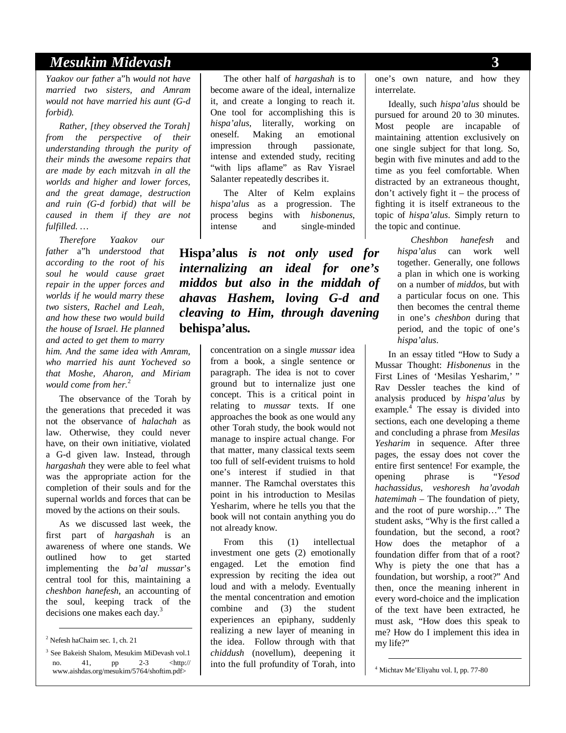#### *Mesukim Midevash* **3**

*Yaakov our father* a"h *would not have married two sisters, and Amram would not have married his aunt (G-d forbid).* 

*Rather, [they observed the Torah] from the perspective of their understanding through the purity of their minds the awesome repairs that are made by each* mitzvah *in all the worlds and higher and lower forces, and the great damage, destruction and ruin (G-d forbid) that will be caused in them if they are not fulfilled. …* 

*Therefore Yaakov our father* a"h *understood that according to the root of his soul he would cause graet repair in the upper forces and worlds if he would marry these two sisters, Rachel and Leah, and how these two would build the house of Israel. He planned and acted to get them to marry* 

*him. And the same idea with Amram, who married his aunt Yocheved so that Moshe, Aharon, and Miriam would come from her.*<sup>2</sup>

The observance of the Torah by the generations that preceded it was not the observance of *halachah* as law. Otherwise, they could never have, on their own initiative, violated a G-d given law. Instead, through *hargashah* they were able to feel what was the appropriate action for the completion of their souls and for the supernal worlds and forces that can be moved by the actions on their souls.

As we discussed last week, the first part of *hargashah* is an awareness of where one stands. We outlined how to get started implementing the *ba'al mussar*'s central tool for this, maintaining a *cheshbon hanefesh*, an accounting of the soul, keeping track of the decisions one makes each day.<sup>3</sup>

The other half of *hargashah* is to become aware of the ideal, internalize it, and create a longing to reach it. One tool for accomplishing this is *hispa'alus*, literally, working on oneself. Making an emotional impression through passionate, intense and extended study, reciting "with lips aflame" as Rav Yisrael Salanter repeatedly describes it.

The Alter of Kelm explains *hispa'alus* as a progression. The process begins with *hisbonenus*, intense and single-minded

**Hispa'alus** *is not only used for internalizing an ideal for one's middos but also in the middah of ahavas Hashem, loving G-d and cleaving to Him, through davening*  **behispa'alus***.* 

> concentration on a single *mussar* idea from a book, a single sentence or paragraph. The idea is not to cover ground but to internalize just one concept. This is a critical point in relating to *mussar* texts. If one approaches the book as one would any other Torah study, the book would not manage to inspire actual change. For that matter, many classical texts seem too full of self-evident truisms to hold one's interest if studied in that manner. The Ramchal overstates this point in his introduction to Mesilas Yesharim, where he tells you that the book will not contain anything you do not already know.

> From this (1) intellectual investment one gets (2) emotionally engaged. Let the emotion find expression by reciting the idea out loud and with a melody. Eventually the mental concentration and emotion combine and (3) the student experiences an epiphany, suddenly realizing a new layer of meaning in the idea. Follow through with that *chiddush* (novellum), deepening it into the full profundity of Torah, into

one's own nature, and how they interrelate.

Ideally, such *hispa'alus* should be pursued for around 20 to 30 minutes. Most people are incapable of maintaining attention exclusively on one single subject for that long. So, begin with five minutes and add to the time as you feel comfortable. When distracted by an extraneous thought, don't actively fight it – the process of fighting it is itself extraneous to the topic of *hispa'alus*. Simply return to the topic and continue.

> *Cheshbon hanefesh* and *hispa'alus* can work well together. Generally, one follows a plan in which one is working on a number of *middos*, but with a particular focus on one. This then becomes the central theme in one's *cheshbon* during that period, and the topic of one's *hispa'alus*.

In an essay titled "How to Sudy a Mussar Thought: *Hisbonenus* in the First Lines of 'Mesilas Yesharim,' " Rav Dessler teaches the kind of analysis produced by *hispa'alus* by example.<sup>4</sup> The essay is divided into sections, each one developing a theme and concluding a phrase from *Mesilas Yesharim* in sequence. After three pages, the essay does not cover the entire first sentence! For example, the opening phrase is "*Yesod hachassidus, veshoresh ha'avodah hatemimah* – The foundation of piety, and the root of pure worship…" The student asks, "Why is the first called a foundation, but the second, a root? How does the metaphor of a foundation differ from that of a root? Why is piety the one that has a foundation, but worship, a root?" And then, once the meaning inherent in every word-choice and the implication of the text have been extracted, he must ask, "How does this speak to me? How do I implement this idea in my life?"

4 Michtav Me'Eliyahu vol. I, pp. 77-80

 <sup>2</sup> Nefesh haChaim sec. 1, ch. 21

<sup>3</sup> See Bakeish Shalom, Mesukim MiDevash vol.1 no. 41, pp 2-3 <http:// www.aishdas.org/mesukim/5764/shoftim.pdf>